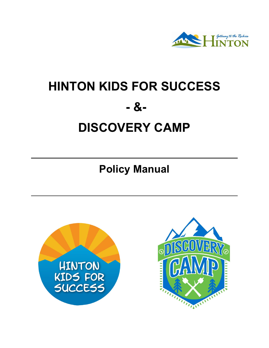

# **HINTON KIDS FOR SUCCESS - &- DISCOVERY CAMP**

**Policy Manual**



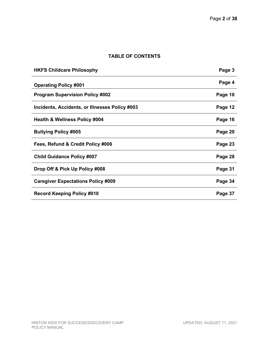# **TABLE OF CONTENTS**

| <b>HKFS Childcare Philosophy</b>               | Page 3  |
|------------------------------------------------|---------|
| <b>Operating Policy #001</b>                   | Page 4  |
| <b>Program Supervision Policy #002</b>         | Page 10 |
| Incidents, Accidents, or Illnesses Policy #003 | Page 12 |
| <b>Health &amp; Wellness Policy #004</b>       | Page 16 |
| <b>Bullying Policy #005</b>                    | Page 20 |
| Fees, Refund & Credit Policy #006              | Page 23 |
| <b>Child Guidance Policy #007</b>              | Page 28 |
| Drop Off & Pick Up Policy #008                 | Page 31 |
| <b>Caregiver Expectations Policy #009</b>      | Page 34 |
| <b>Record Keeping Policy #010</b>              | Page 37 |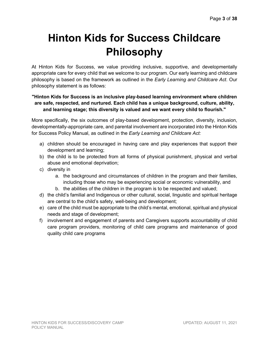# **Hinton Kids for Success Childcare Philosophy**

At Hinton Kids for Success, we value providing inclusive, supportive, and developmentally appropriate care for every child that we welcome to our program. Our early learning and childcare philosophy is based on the framework as outlined in the *Early Learning and Childcare Act*. Our philosophy statement is as follows:

# **"Hinton Kids for Success is an inclusive play-based learning environment where children are safe, respected, and nurtured. Each child has a unique background, culture, ability, and learning stage; this diversity is valued and we want every child to flourish."**

More specifically, the six outcomes of play-based development, protection, diversity, inclusion, developmentally-appropriate care, and parental involvement are incorporated into the Hinton Kids for Success Policy Manual, as outlined in the *Early Learning and Childcare Act:*

- a) children should be encouraged in having care and play experiences that support their development and learning;
- b) the child is to be protected from all forms of physical punishment, physical and verbal abuse and emotional deprivation;
- c) diversity in
	- a. the background and circumstances of children in the program and their families, including those who may be experiencing social or economic vulnerability, and
	- b. the abilities of the children in the program is to be respected and valued;
- d) the child's familial and Indigenous or other cultural, social, linguistic and spiritual heritage are central to the child's safety, well-being and development;
- e) care of the child must be appropriate to the child's mental, emotional, spiritual and physical needs and stage of development;
- f) involvement and engagement of parents and Caregivers supports accountability of child care program providers, monitoring of child care programs and maintenance of good quality child care programs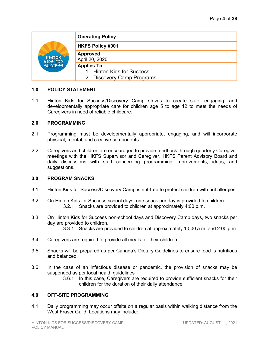| <b>HINTON</b><br>KIDS FOR<br>SUCCESS | <b>Operating Policy</b>    |
|--------------------------------------|----------------------------|
|                                      | <b>HKFS Policy #001</b>    |
|                                      | Approved<br>April 20, 2020 |
|                                      | <b>Applies To</b>          |
|                                      | 1. Hinton Kids for Success |
|                                      | 2. Discovery Camp Programs |

1.1 Hinton Kids for Success/Discovery Camp strives to create safe, engaging, and developmentally appropriate care for children age 5 to age 12 to meet the needs of Caregivers in need of reliable childcare.

#### **2.0 PROGRAMMING**

- 2.1 Programming must be developmentally appropriate, engaging, and will incorporate physical, mental, and creative components.
- 2.2 Caregivers and children are encouraged to provide feedback through quarterly Caregiver meetings with the HKFS Supervisor and Caregiver, HKFS Parent Advisory Board and daily discussions with staff concerning programming improvements, ideas, and suggestions.

#### **3.0 PROGRAM SNACKS**

- 3.1 Hinton Kids for Success/Discovery Camp is nut-free to protect children with nut allergies.
- 3.2 On Hinton Kids for Success school days, one snack per day is provided to children. 3.2.1 Snacks are provided to children at approximately 4:00 p.m.
- 3.3 On Hinton Kids for Success non-school days and Discovery Camp days, two snacks per day are provided to children.
	- 3.3.1 Snacks are provided to children at approximately 10:00 a.m. and 2:00 p.m.
- 3.4 Caregivers are required to provide all meals for their children.
- 3.5 Snacks will be prepared as per Canada's Dietary Guidelines to ensure food is nutritious and balanced.
- 3.6 In the case of an infectious disease or pandemic, the provision of snacks may be suspended as per local health guidelines
	- 3.6.1 In this case, Caregivers are required to provide sufficient snacks for their children for the duration of their daily attendance

# **4.0 OFF-SITE PROGRAMMING**

4.1 Daily programming may occur offsite on a regular basis within walking distance from the West Fraser Guild. Locations may include: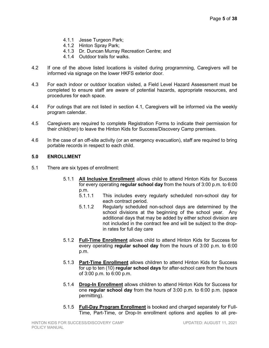- 4.1.1 Jesse Turgeon Park;
- 4.1.2 Hinton Spray Park;
- 4.1.3 Dr. Duncan Murray Recreation Centre; and
- 4.1.4 Outdoor trails for walks.
- 4.2 If one of the above listed locations is visited during programming, Caregivers will be informed via signage on the lower HKFS exterior door.
- 4.3 For each indoor or outdoor location visited, a Field Level Hazard Assessment must be completed to ensure staff are aware of potential hazards, appropriate resources, and procedures for each space.
- 4.4 For outings that are not listed in section 4.1, Caregivers will be informed via the weekly program calendar.
- 4.5 Caregivers are required to complete Registration Forms to indicate their permission for their child(ren) to leave the Hinton Kids for Success/Discovery Camp premises.
- 4.6 In the case of an off-site activity (or an emergency evacuation), staff are required to bring portable records in respect to each child.

#### **5.0 ENROLLMENT**

- 5.1 There are six types of enrollment:
	- 5.1.1 **All Inclusive Enrollment** allows child to attend Hinton Kids for Success for every operating **regular school day** from the hours of 3:00 p.m. to 6:00 p.m.<br>5.1.1.1
		- This includes every regularly scheduled non-school day for each contract period.
		- 5.1.1.2 Regularly scheduled non-school days are determined by the school divisions at the beginning of the school year. Any additional days that may be added by either school division are not included in the contract fee and will be subject to the dropin rates for full day care
	- 5.1.2 **Full-Time Enrollment** allows child to attend Hinton Kids for Success for every operating **regular school day** from the hours of 3:00 p.m. to 6:00 p.m.
	- 5.1.3 **Part-Time Enrollment** allows children to attend Hinton Kids for Success for up to ten (10) **regular school days** for after-school care from the hours of 3:00 p.m. to 6:00 p.m.
	- 5.1.4 **Drop-In Enrollment** allows children to attend Hinton Kids for Success for one **regular school day** from the hours of 3:00 p.m. to 6:00 p.m. (space permitting).
	- 5.1.5 **Full-Day Program Enrollment** is booked and charged separately for Full-Time, Part-Time, or Drop-In enrollment options and applies to all pre-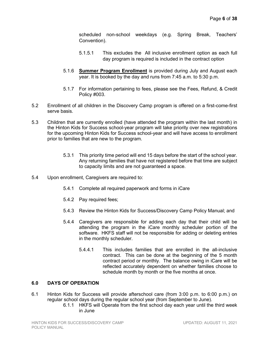scheduled non-school weekdays (e.g. Spring Break, Teachers' Convention).

- 5.1.5.1 This excludes the All inclusive enrollment option as each full day program is required is included in the contract option
- 5.1.6 **Summer Program Enrollment** is provided during July and August each year. It is booked by the day and runs from 7:45 a.m. to 5:30 p.m.
- 5.1.7 For information pertaining to fees, please see the Fees, Refund, & Credit Policy #003.
- 5.2 Enrollment of all children in the Discovery Camp program is offered on a first-come-first serve basis.
- 5.3 Children that are currently enrolled (have attended the program within the last month) in the Hinton Kids for Success school-year program will take priority over new registrations for the upcoming Hinton Kids for Success school-year and will have access to enrollment prior to families that are new to the program.
	- 5.3.1 This priority time period will end 15 days before the start of the school year. Any returning families that have not registered before that time are subject to capacity limits and are not guaranteed a space.
- 5.4 Upon enrollment, Caregivers are required to:
	- 5.4.1 Complete all required paperwork and forms in iCare
	- 5.4.2 Pay required fees;
	- 5.4.3 Review the Hinton Kids for Success/Discovery Camp Policy Manual; and
	- 5.4.4 Caregivers are responsible for adding each day that their child will be attending the program in the iCare monthly scheduler portion of the software. HKFS staff will not be responsible for adding or deleting entries in the monthly scheduler.
		- 5.4.4.1 This includes families that are enrolled in the all-inclusive contract. This can be done at the beginning of the 5 month contract period or monthly. The balance owing in iCare will be reflected accurately dependent on whether families choose to schedule month by month or the five months at once.

# **6.0 DAYS OF OPERATION**

- 6.1 Hinton Kids for Success will provide afterschool care (from 3:00 p.m. to 6:00 p.m.) on regular school days during the regular school year (from September to June).
	- 6.1.1 HKFS will Operate from the first school day each year until the third week in June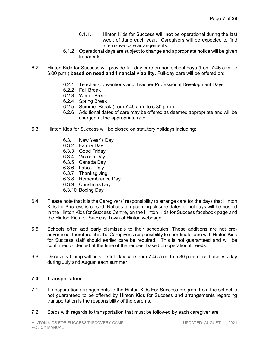- 6.1.1.1 Hinton Kids for Success **will not** be operational during the last week of June each year. Caregivers will be expected to find alternative care arrangements.
- 6.1.2 Operational days are subject to change and appropriate notice will be given to parents.
- 6.2 Hinton Kids for Success will provide full-day care on non-school days (from 7:45 a.m. to 6:00 p.m.) **based on need and financial viability.** Full-day care will be offered on:
	- 6.2.1 Teacher Conventions and Teacher Professional Development Days
	- 6.2.2 Fall Break
	- 6.2.3 Winter Break
	- 6.2.4 Spring Break
	- 6.2.5 Summer Break (from 7:45 a.m. to 5:30 p.m.)
	- 6.2.6 Additional dates of care may be offered as deemed appropriate and will be charged at the appropriate rate.
- 6.3 Hinton Kids for Success will be closed on statutory holidays including:
	- 6.3.1 New Year's Day
	- 6.3.2 Family Day
	- 6.3.3 Good Friday
	- 6.3.4 Victoria Day
	- 6.3.5 Canada Day
	- 6.3.6 Labour Day
	- 6.3.7 Thanksgiving
	- 6.3.8 Remembrance Day
	- 6.3.9 Christmas Day
	- 6.3.10 Boxing Day
- 6.4 Please note that it is the Caregivers' responsibility to arrange care for the days that Hinton Kids for Success is closed. Notices of upcoming closure dates of holidays will be posted in the Hinton Kids for Success Centre, on the Hinton Kids for Success facebook page and the Hinton Kids for Success Town of Hinton webpage.
- 6.5 Schools often add early dismissals to their schedules. These additions are not preadvertised; therefore, it is the Caregiver's responsibility to coordinate care with Hinton Kids for Success staff should earlier care be required. This is not guaranteed and will be confirmed or denied at the time of the request based on operational needs.
- 6.6 Discovery Camp will provide full-day care from 7:45 a.m. to 5:30 p.m. each business day during July and August each summer

#### **7.0 Transportation**

- 7.1 Transportation arrangements to the Hinton Kids For Success program from the school is not guaranteed to be offered by Hinton Kids for Success and arrangements regarding transportation is the responsibility of the parents.
- 7.2 Steps with regards to transportation that must be followed by each caregiver are: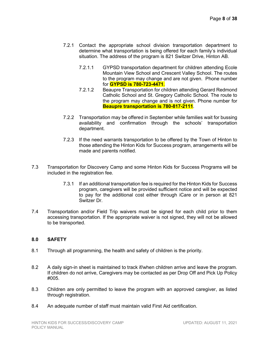- 7.2.1 Contact the appropriate school division transportation department to determine what transportation is being offered for each family's individual situation. The address of the program is 821 Switzer Drive, Hinton AB.
	- 7.2.1.1 GYPSD transportation department for children attending Ecole Mountain View School and Crescent Valley School. The routes to the program may change and are not given. Phone number for **GYPSD is 780-723-4471**.
	- 7.2.1.2 Beaupre Transportation for children attending Gerard Redmond Catholic School and St. Gregory Catholic School. The route to the program may change and is not given. Phone number for **Beaupre transportation is 780-817-2111**.
- 7.2.2 Transportation may be offered in September while families wait for bussing availability and confirmation through the schools' transportation department.
- 7.2.3 If the need warrants transportation to be offered by the Town of Hinton to those attending the Hinton Kids for Success program, arrangements will be made and parents notified.
- 7.3 Transportation for Discovery Camp and some Hinton Kids for Success Programs will be included in the registration fee.
	- 7.3.1 If an additional transportation fee is required for the Hinton Kids for Success program, caregivers will be provided sufficient notice and will be expected to pay for the additional cost either through iCare or in person at 821 Switzer Dr.
- 7.4 Transportation and/or Field Trip waivers must be signed for each child prior to them accessing transportation. If the appropriate waiver is not signed, they will not be allowed to be transported.

# **8.0 SAFETY**

- 8.1 Through all programming, the health and safety of children is the priority.
- 8.2 A daily sign-in sheet is maintained to track if/when children arrive and leave the program. If children do not arrive, Caregivers may be contacted as per Drop Off and Pick Up Policy #005.
- 8.3 Children are only permitted to leave the program with an approved caregiver, as listed through registration.
- 8.4 An adequate number of staff must maintain valid First Aid certification.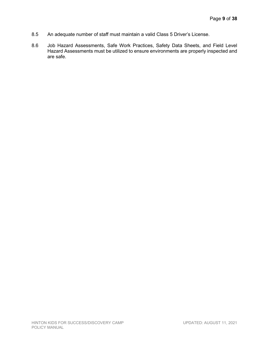- 8.5 An adequate number of staff must maintain a valid Class 5 Driver's License.
- 8.6 Job Hazard Assessments, Safe Work Practices, Safety Data Sheets, and Field Level Hazard Assessments must be utilized to ensure environments are properly inspected and are safe.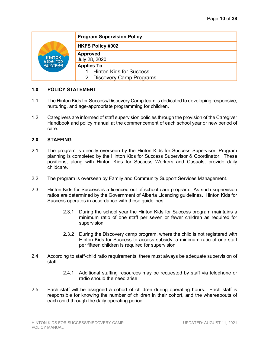| <b>HINTON</b><br>KIDS FOR<br>SUCCESS | <b>Program Supervision Policy</b> |
|--------------------------------------|-----------------------------------|
|                                      | <b>HKFS Policy #002</b>           |
|                                      | <b>Approved</b><br>July 28, 2020  |
|                                      | <b>Applies To</b>                 |
|                                      | 1. Hinton Kids for Success        |
|                                      | 2. Discovery Camp Programs        |

- 1.1 The Hinton Kids for Success/Discovery Camp team is dedicated to developing responsive, nurturing, and age-appropriate programming for children.
- 1.2 Caregivers are informed of staff supervision policies through the provision of the Caregiver Handbook and policy manual at the commencement of each school year or new period of care.

#### **2.0 STAFFING**

- 2.1 The program is directly overseen by the Hinton Kids for Success Supervisor. Program planning is completed by the Hinton Kids for Success Supervisor & Coordinator. These positions, along with Hinton Kids for Success Workers and Casuals, provide daily childcare.
- 2.2 The program is overseen by Family and Community Support Services Management.
- 2.3 Hinton Kids for Success is a licenced out of school care program. As such supervision ratios are determined by the Government of Alberta Licencing guidelines. Hinton Kids for Success operates in accordance with these guidelines.
	- 2.3.1 During the school year the Hinton Kids for Success program maintains a minimum ratio of one staff per seven or fewer children as required for supervision.
	- 2.3.2 During the Discovery camp program, where the child is not registered with Hinton Kids for Success to access subsidy, a minimum ratio of one staff per fifteen children is required for supervision
- 2.4 According to staff-child ratio requirements, there must always be adequate supervision of staff.
	- 2.4.1 Additional staffing resources may be requested by staff via telephone or radio should the need arise
- 2.5 Each staff will be assigned a cohort of children during operating hours. Each staff is responsible for knowing the number of children in their cohort, and the whereabouts of each child through the daily operating period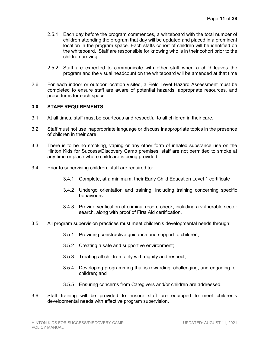- 2.5.1 Each day before the program commences, a whiteboard with the total number of children attending the program that day will be updated and placed in a prominent location in the program space. Each staffs cohort of children will be identified on the whiteboard. Staff are responsible for knowing who is in their cohort prior to the children arriving.
- 2.5.2 Staff are expected to communicate with other staff when a child leaves the program and the visual headcount on the whiteboard will be amended at that time
- 2.6 For each indoor or outdoor location visited, a Field Level Hazard Assessment must be completed to ensure staff are aware of potential hazards, appropriate resources, and procedures for each space.

#### **3.0 STAFF REQUIREMENTS**

- 3.1 At all times, staff must be courteous and respectful to all children in their care.
- 3.2 Staff must not use inappropriate language or discuss inappropriate topics in the presence of children in their care.
- 3.3 There is to be no smoking, vaping or any other form of inhaled substance use on the Hinton Kids for Success/Discovery Camp premises; staff are not permitted to smoke at any time or place where childcare is being provided.
- 3.4 Prior to supervising children, staff are required to:
	- 3.4.1 Complete, at a minimum, their Early Child Education Level 1 certificate
	- 3.4.2 Undergo orientation and training, including training concerning specific behaviours
	- 3.4.3 Provide verification of criminal record check, including a vulnerable sector search, along with proof of First Aid certification.
- 3.5 All program supervision practices must meet children's developmental needs through:
	- 3.5.1 Providing constructive guidance and support to children;
	- 3.5.2 Creating a safe and supportive environment;
	- 3.5.3 Treating all children fairly with dignity and respect;
	- 3.5.4 Developing programming that is rewarding, challenging, and engaging for children; and
	- 3.5.5 Ensuring concerns from Caregivers and/or children are addressed.
- 3.6 Staff training will be provided to ensure staff are equipped to meet children's developmental needs with effective program supervision.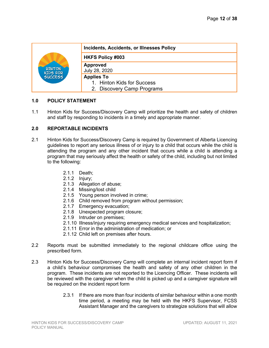| <b>HINTON</b><br>KIDS FOR<br>SUCCESS | Incidents, Accidents, or Illnesses Policy                |
|--------------------------------------|----------------------------------------------------------|
|                                      | <b>HKFS Policy #003</b>                                  |
|                                      | <b>Approved</b><br>July 28, 2020                         |
|                                      | <b>Applies To</b>                                        |
|                                      | 1. Hinton Kids for Success<br>2. Discovery Camp Programs |

1.1 Hinton Kids for Success/Discovery Camp will prioritize the health and safety of children and staff by responding to incidents in a timely and appropriate manner.

#### **2.0 REPORTABLE INCIDENTS**

- 2.1 Hinton Kids for Success/Discovery Camp is required by Government of Alberta Licencing guidelines to report any serious illness of or injury to a child that occurs while the child is attending the program and any other incident that occurs while a child is attending a program that may seriously affect the health or safety of the child, including but not limited to the following:
	- 2.1.1 Death;
	- 2.1.2 Injury;
	- 2.1.3 Allegation of abuse;
	- 2.1.4 Missing/lost child
	- 2.1.5 Young person involved in crime;
	- 2.1.6 Child removed from program without permission;
	- 2.1.7 Emergency evacuation;
	- 2.1.8 Unexpected program closure;
	- 2.1.9 Intruder on premises;
	- 2.1.10 Illness/injury requiring emergency medical services and hospitalization;
	- 2.1.11 Error in the administration of medication; or
	- 2.1.12 Child left on premises after hours.
- 2.2 Reports must be submitted immediately to the regional childcare office using the prescribed form.
- 2.3 Hinton Kids for Success/Discovery Camp will complete an internal incident report form if a child's behaviour compromises the health and safety of any other children in the program. These incidents are not reported to the Licencing Officer. These incidents will be reviewed with the caregiver when the child is picked up and a caregiver signature will be required on the incident report form
	- 2.3.1 If there are more than four incidents of similar behaviour within a one month time period, a meeting may be held with the HKFS Supervisor, FCSS Assistant Manager and the caregivers to strategize solutions that will allow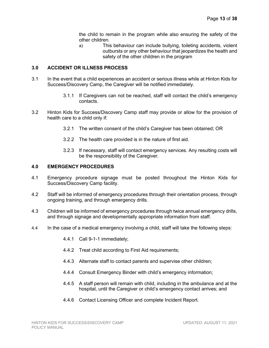the child to remain in the program while also ensuring the safety of the other children.

a) This behaviour can include bullying, toileting accidents, violent outbursts or any other behaviour that jeopardizes the health and safety of the other children in the program

#### **3.0 ACCIDENT OR ILLNESS PROCESS**

- 3.1 In the event that a child experiences an accident or serious illness while at Hinton Kids for Success/Discovery Camp, the Caregiver will be notified immediately.
	- 3.1.1 If Caregivers can not be reached, staff will contact the child's emergency contacts.
- 3.2 Hinton Kids for Success/Discovery Camp staff may provide or allow for the provision of health care to a child only if:
	- 3.2.1 The written consent of the child's Caregiver has been obtained; OR
	- 3.2.2 The health care provided is in the nature of first aid.
	- 3.2.3 If necessary, staff will contact emergency services. Any resulting costs will be the responsibility of the Caregiver.

#### **4.0 EMERGENCY PROCEDURES**

- 4.1 Emergency procedure signage must be posted throughout the Hinton Kids for Success/Discovery Camp facility.
- 4.2 Staff will be informed of emergency procedures through their orientation process, through ongoing training, and through emergency drills.
- 4.3 Children will be informed of emergency procedures through twice annual emergency drills, and through signage and developmentally appropriate information from staff.
- 4.4 In the case of a medical emergency involving a child, staff will take the following steps:
	- 4.4.1 Call 9-1-1 immediately;
	- 4.4.2 Treat child according to First Aid requirements;
	- 4.4.3 Alternate staff to contact parents and supervise other children;
	- 4.4.4 Consult Emergency Binder with child's emergency information;
	- 4.4.5 A staff person will remain with child, including in the ambulance and at the hospital, until the Caregiver or child's emergency contact arrives; and
	- 4.4.6 Contact Licensing Officer and complete Incident Report.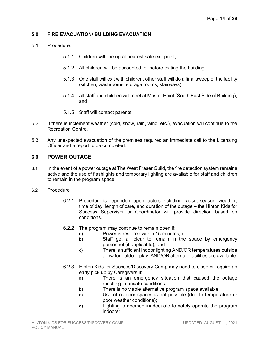# **5.0 FIRE EVACUATION/ BUILDING EVACUATION**

- 5.1 Procedure:
	- 5.1.1 Children will line up at nearest safe exit point;
	- 5.1.2 All children will be accounted for before exiting the building;
	- 5.1.3 One staff will exit with children, other staff will do a final sweep of the facility (kitchen, washrooms, storage rooms, stairways);
	- 5.1.4 All staff and children will meet at Muster Point (South East Side of Building); and
	- 5.1.5 Staff will contact parents.
- 5.2 If there is inclement weather (cold, snow, rain, wind, etc.), evacuation will continue to the Recreation Centre.
- 5.3 Any unexpected evacuation of the premises required an immediate call to the Licensing Officer and a report to be completed.

# **6.0 POWER OUTAGE**

6.1 In the event of a power outage at The West Fraser Guild, the fire detection system remains active and the use of flashlights and temporary lighting are available for staff and children to remain in the program space.

#### 6.2 Procedure

- 6.2.1 Procedure is dependent upon factors including cause, season, weather, time of day, length of care, and duration of the outage – the Hinton Kids for Success Supervisor or Coordinator will provide direction based on conditions.
- 6.2.2 The program may continue to remain open if:
	- a) Power is restored within 15 minutes; or
	- b) Staff get all clear to remain in the space by emergency personnel (if applicable); and
	- c) There is sufficient indoor lighting AND/OR temperatures outside allow for outdoor play, AND/OR alternate facilities are available.
- 6.2.3 Hinton Kids for Success/Discovery Camp may need to close or require an early pick up by Caregivers if:
	- a) There is an emergency situation that caused the outage resulting in unsafe conditions;
	- b) There is no viable alternative program space available;
	- c) Use of outdoor spaces is not possible (due to temperature or poor weather conditions);
	- d) Lighting is deemed inadequate to safely operate the program indoors;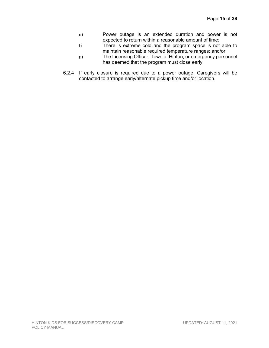- e) Power outage is an extended duration and power is not expected to return within a reasonable amount of time;
- f) There is extreme cold and the program space is not able to maintain reasonable required temperature ranges; and/or
- g) The Licensing Officer, Town of Hinton, or emergency personnel has deemed that the program must close early.
- 6.2.4 If early closure is required due to a power outage, Caregivers will be contacted to arrange early/alternate pickup time and/or location.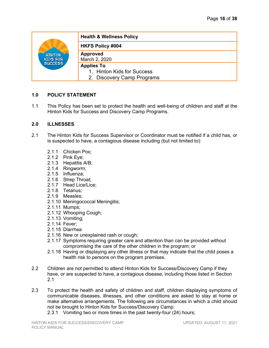| <b>HINTON</b><br>KIDS FOR<br>SUCCESS | <b>Health &amp; Wellness Policy</b>                                           |
|--------------------------------------|-------------------------------------------------------------------------------|
|                                      | <b>HKFS Policy #004</b>                                                       |
|                                      | <b>Approved</b><br>March 2, 2020                                              |
|                                      | <b>Applies To</b><br>1. Hinton Kids for Success<br>2. Discovery Camp Programs |

1.1 This Policy has been set to protect the health and well-being of children and staff at the Hinton Kids for Success and Discovery Camp Programs.

#### **2.0 ILLNESSES**

- 2.1 The Hinton Kids for Success Supervisor or Coordinator must be notified if a child has, or is suspected to have, a contagious disease including (but not limited to):
	- 2.1.1 Chicken Pox;
	- 2.1.2 Pink Eye;
	- 2.1.3 Hepatitis A/B;
	- 2.1.4 Ringworm;
	- 2.1.5 Influenza;
	- 2.1.6 Strep Throat;
	- 2.1.7 Head Lice/Lice;
	- 2.1.8 Tetanus;
	- 2.1.9 Measles;
	- 2.1.10 Meningococcal Meningitis;
	- 2.1.11 Mumps;
	- 2.1.12 Whooping Cough;
	- 2.1.13 Vomiting;
	- 2.1.14 Fever;
	- 2.1.15 Diarrhea
	- 2.1.16 New or unexplained rash or cough;
	- 2.1.17 Symptoms requiring greater care and attention than can be provided without compromising the care of the other children in the program; or
	- 2.1.18 Having or displaying any other illness or that may indicate that the child poses a health risk to persons on the program premises.
- 2.2 Children are not permitted to attend Hinton Kids for Success/Discovery Camp if they have, or are suspected to have, a contagious disease, including those listed in Section 2.1
- 2.3 To protect the health and safety of children and staff, children displaying symptoms of communicable diseases, illnesses, and other conditions are asked to stay at home or make alternative arrangements. The following are circumstances in which a child should not be brought to Hinton Kids for Success/Discovery Camp:
	- 2.3.1 Vomiting two or more times in the past twenty-four (24) hours;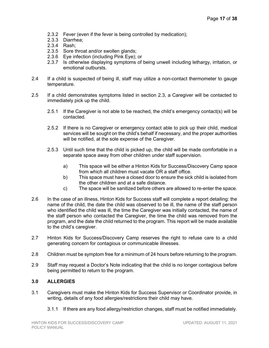- 2.3.2 Fever (even if the fever is being controlled by medication);
- 2.3.3 Diarrhea;
- 2.3.4 Rash;
- 2.3.5 Sore throat and/or swollen glands;
- 2.3.6 Eye infection (including Pink Eye); or
- 2.3.7 Is otherwise displaying symptoms of being unwell including lethargy, irritation, or emotional outbursts.
- 2.4 If a child is suspected of being ill, staff may utilize a non-contact thermometer to gauge temperature.
- 2.5 If a child demonstrates symptoms listed in section 2.3, a Caregiver will be contacted to immediately pick up the child.
	- 2.5.1 If the Caregiver is not able to be reached, the child's emergency contact(s) will be contacted.
	- 2.5.2 If there is no Caregiver or emergency contact able to pick up their child, medical services will be sought on the child's behalf if necessary, and the proper authorities will be notified, at the sole expense of the Caregiver.
	- 2.5.3 Until such time that the child is picked up, the child will be made comfortable in a separate space away from other children under staff supervision.
		- a) This space will be either a Hinton Kids for Success/Discovery Camp space from which all children must vacate OR a staff office.
		- b) This space must have a closed door to ensure the sick child is isolated from the other children and at a safe distance.
		- c) The space will be sanitized before others are allowed to re-enter the space.
- 2.6 In the case of an illness, Hinton Kids for Success staff will complete a report detailing: the name of the child, the date the child was observed to be ill, the name of the staff person who identified the child was ill, the time the Caregiver was initially contacted, the name of the staff person who contacted the Caregiver, the time the child was removed from the program, and the date the child returned to the program. This report will be made available to the child's caregiver.
- 2.7 Hinton Kids for Success/Discovery Camp reserves the right to refuse care to a child generating concern for contagious or communicable illnesses.
- 2.8 Children must be symptom free for a minimum of 24 hours before returning to the program.
- 2.9 Staff may request a Doctor's Note indicating that the child is no longer contagious before being permitted to return to the program.

# **3.0 ALLERGIES**

- 3.1 Caregivers must make the Hinton Kids for Success Supervisor or Coordinator provide, in writing, details of any food allergies/restrictions their child may have.
	- 3.1.1 If there are any food allergy/restriction changes, staff must be notified immediately.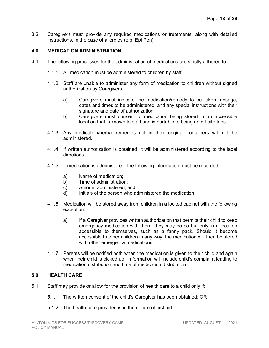3.2 Caregivers must provide any required medications or treatments, along with detailed instructions, in the case of allergies (e.g. Epi Pen).

# **4.0 MEDICATION ADMINISTRATION**

- 4.1 The following processes for the administration of medications are strictly adhered to:
	- 4.1.1 All medication must be administered to children by staff.
	- 4.1.2 Staff are unable to administer any form of medication to children without signed authorization by Caregivers.
		- a) Caregivers must indicate the medication/remedy to be taken, dosage, dates and times to be administered, and any special instructions with their signature and date of authorization.
		- b) Caregivers must consent to medication being stored in an accessible location that is known to staff and is portable to being on off-site trips.
	- 4.1.3 Any medication/herbal remedies not in their original containers will not be administered.
	- 4.1.4 If written authorization is obtained, it will be administered according to the label directions.
	- 4.1.5 If medication is administered, the following information must be recorded:
		- a) Name of medication;
		- b) Time of administration;
		- c) Amount administered; and
		- d) Initials of the person who administered the medication.
	- 4.1.6 Medication will be stored away from children in a locked cabinet with the following exception:
		- a) If a Caregiver provides written authorization that permits their child to keep emergency medication with them, they may do so but only in a location accessible to themselves, such as a fanny pack. Should it become accessible to other children in any way, the medication will then be stored with other emergency medications.
	- 4.1.7 Parents will be notified both when the medication is given to their child and again when their child is picked up. Information will include child's complaint leading to medication distribution and time of medication distribution

#### **5.0 HEALTH CARE**

- 5.1 Staff may provide or allow for the provision of health care to a child only if:
	- 5.1.1 The written consent of the child's Caregiver has been obtained; OR
	- 5.1.2 The health care provided is in the nature of first aid.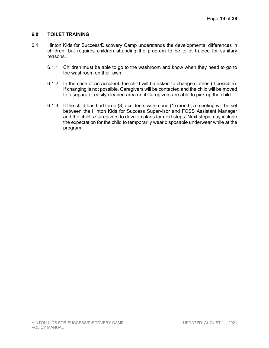# **6.0 TOILET TRAINING**

- 6.1 Hinton Kids for Success/Discovery Camp understands the developmental differences in children, but requires children attending the program to be toilet trained for sanitary reasons.
	- 6.1.1 Children must be able to go to the washroom and know when they need to go to the washroom on their own.
	- 6.1.2 In the case of an accident, the child will be asked to change clothes (if possible). If changing is not possible, Caregivers will be contacted and the child will be moved to a separate, easily cleaned area until Caregivers are able to pick up the child
	- 6.1.3 If the child has had three (3) accidents within one (1) month, a meeting will be set between the Hinton Kids for Success Supervisor and FCSS Assistant Manager and the child's Caregivers to develop plans for next steps. Next steps may include the expectation for the child to temporarily wear disposable underwear while at the program.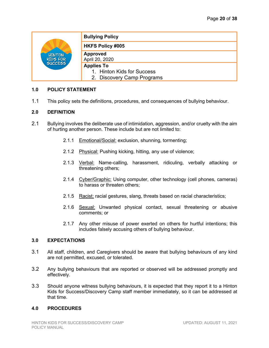| <b>HINTON</b><br>KIDS FOR<br>SUCCESS | <b>Bullying Policy</b>                                                        |
|--------------------------------------|-------------------------------------------------------------------------------|
|                                      | <b>HKFS Policy #005</b>                                                       |
|                                      | <b>Approved</b><br>April 20, 2020                                             |
|                                      | <b>Applies To</b><br>1. Hinton Kids for Success<br>2. Discovery Camp Programs |

1.1 This policy sets the definitions, procedures, and consequences of bullying behaviour.

# **2.0 DEFINITION**

- 2.1 Bullying involves the deliberate use of intimidation, aggression, and/or cruelty with the aim of hurting another person. These include but are not limited to:
	- 2.1.1 Emotional/Social: exclusion, shunning, tormenting;
	- 2.1.2 Physical: Pushing kicking, hitting, any use of violence;
	- 2.1.3 Verbal: Name-calling, harassment, ridiculing, verbally attacking or threatening others;
	- 2.1.4 Cyber/Graphic: Using computer, other technology (cell phones, cameras) to harass or threaten others;
	- 2.1.5 Racist: racial gestures, slang, threats based on racial characteristics;
	- 2.1.6 Sexual: Unwanted physical contact, sexual threatening or abusive comments; or
	- 2.1.7 Any other misuse of power exerted on others for hurtful intentions; this includes falsely accusing others of bullying behaviour.

# **3.0 EXPECTATIONS**

- 3.1 All staff, children, and Caregivers should be aware that bullying behaviours of any kind are not permitted, excused, or tolerated.
- 3.2 Any bullying behaviours that are reported or observed will be addressed promptly and effectively.
- 3.3 Should anyone witness bullying behaviours, it is expected that they report it to a Hinton Kids for Success/Discovery Camp staff member immediately, so it can be addressed at that time.

#### **4.0 PROCEDURES**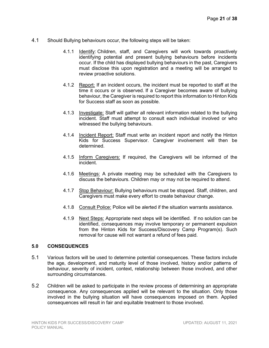- 4.1 Should Bullying behaviours occur, the following steps will be taken:
	- 4.1.1 Identify: Children, staff, and Caregivers will work towards proactively identifying potential and present bullying behaviours before incidents occur. If the child has displayed bullying behaviours in the past, Caregivers must disclose this upon registration and a meeting will be arranged to review proactive solutions.
	- 4.1.2 Report: If an incident occurs, the incident must be reported to staff at the time it occurs or is observed. If a Caregiver becomes aware of bullying behaviour, the Caregiver is required to report this information to Hinton Kids for Success staff as soon as possible.
	- 4.1.3 Investigate: Staff will gather all relevant information related to the bullying incident. Staff must attempt to consult each individual involved or who witnessed the bullying behaviours.
	- 4.1.4 Incident Report: Staff must write an incident report and notify the Hinton Kids for Success Supervisor. Caregiver involvement will then be determined.
	- 4.1.5 Inform Caregivers: If required, the Caregivers will be informed of the incident.
	- 4.1.6 Meetings: A private meeting may be scheduled with the Caregivers to discuss the behaviours. Children may or may not be required to attend.
	- 4.1.7 Stop Behaviour: Bullying behaviours must be stopped. Staff, children, and Caregivers must make every effort to create behaviour change.
	- 4.1.8 Consult Police: Police will be alerted if the situation warrants assistance.
	- 4.1.9 Next Steps: Appropriate next steps will be identified. If no solution can be identified, consequences may involve temporary or permanent expulsion from the Hinton Kids for Success/Discovery Camp Program(s). Such removal for cause will not warrant a refund of fees paid.

# **5.0 CONSEQUENCES**

- 5.1 Various factors will be used to determine potential consequences. These factors include the age, development, and maturity level of those involved, history and/or patterns of behaviour, severity of incident, context, relationship between those involved, and other surrounding circumstances.
- 5.2 Children will be asked to participate in the review process of determining an appropriate consequence. Any consequences applied will be relevant to the situation. Only those involved in the bullying situation will have consequences imposed on them. Applied consequences will result in fair and equitable treatment to those involved.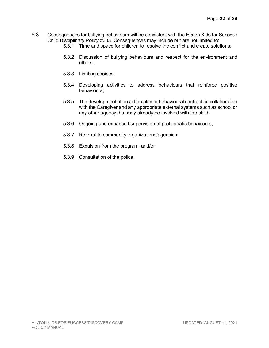- 5.3 Consequences for bullying behaviours will be consistent with the Hinton Kids for Success Child Disciplinary Policy #003. Consequences may include but are not limited to:
	- 5.3.1 Time and space for children to resolve the conflict and create solutions;
	- 5.3.2 Discussion of bullying behaviours and respect for the environment and others;
	- 5.3.3 Limiting choices;
	- 5.3.4 Developing activities to address behaviours that reinforce positive behaviours;
	- 5.3.5 The development of an action plan or behavioural contract, in collaboration with the Caregiver and any appropriate external systems such as school or any other agency that may already be involved with the child;
	- 5.3.6 Ongoing and enhanced supervision of problematic behaviours;
	- 5.3.7 Referral to community organizations/agencies;
	- 5.3.8 Expulsion from the program; and/or
	- 5.3.9 Consultation of the police.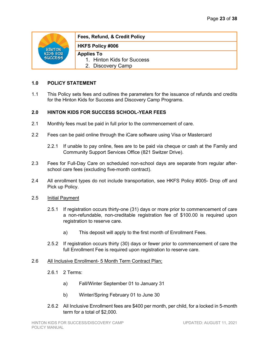

# **Fees, Refund, & Credit Policy**

# **HKFS Policy #006**

# **Applies To**

- 1. Hinton Kids for Success
- 2. Discovery Camp

# **1.0 POLICY STATEMENT**

1.1 This Policy sets fees and outlines the parameters for the issuance of refunds and credits for the Hinton Kids for Success and Discovery Camp Programs.

# **2.0 HINTON KIDS FOR SUCCESS SCHOOL-YEAR FEES**

- 2.1 Monthly fees must be paid in full prior to the commencement of care.
- 2.2 Fees can be paid online through the iCare software using Visa or Mastercard
	- 2.2.1 If unable to pay online, fees are to be paid via cheque or cash at the Family and Community Support Services Office (821 Switzer Drive).
- 2.3 Fees for Full-Day Care on scheduled non-school days are separate from regular afterschool care fees (excluding five-month contract).
- 2.4 All enrollment types do not include transportation, see HKFS Policy #005- Drop off and Pick up Policy.
- 2.5 Initial Payment
	- 2.5.1 If registration occurs thirty-one (31) days or more prior to commencement of care a non-refundable, non-creditable registration fee of \$100.00 is required upon registration to reserve care.
		- a) This deposit will apply to the first month of Enrollment Fees.
	- 2.5.2 If registration occurs thirty (30) days or fewer prior to commencement of care the full Enrollment Fee is required upon registration to reserve care.

# 2.6 All Inclusive Enrollment- 5 Month Term Contract Plan;

- 2.6.1 2 Terms:
	- a) Fall/Winter September 01 to January 31
	- b) Winter/Spring February 01 to June 30
- 2.6.2 All Inclusive Enrollment fees are \$400 per month, per child, for a locked in 5-month term for a total of \$2,000.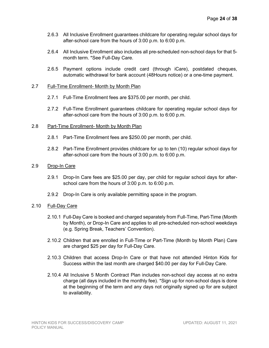- 2.6.3 All Inclusive Enrollment guarantees childcare for operating regular school days for after-school care from the hours of 3:00 p.m. to 6:00 p.m.
- 2.6.4 All Inclusive Enrollment also includes all pre-scheduled non-school days for that 5 month term. \*See Full-Day Care.
- 2.6.5 Payment options include credit card (through iCare), postdated cheques, automatic withdrawal for bank account (48Hours notice) or a one-time payment.

#### 2.7 Full-Time Enrollment- Month by Month Plan

- 2.7.1 Full-Time Enrollment fees are \$375.00 per month, per child.
- 2.7.2 Full-Time Enrollment guarantees childcare for operating regular school days for after-school care from the hours of 3:00 p.m. to 6:00 p.m.

#### 2.8 Part-Time Enrollment- Month by Month Plan

- 2.8.1 Part-Time Enrollment fees are \$250.00 per month, per child.
- 2.8.2 Part-Time Enrollment provides childcare for up to ten (10) regular school days for after-school care from the hours of 3:00 p.m. to 6:00 p.m.

#### 2.9 Drop-In Care

- 2.9.1 Drop-In Care fees are \$25.00 per day, per child for regular school days for afterschool care from the hours of 3:00 p.m. to 6:00 p.m.
- 2.9.2 Drop-In Care is only available permitting space in the program.

# 2.10 Full-Day Care

- 2.10.1 Full-Day Care is booked and charged separately from Full-Time, Part-Time (Month by Month), or Drop-In Care and applies to all pre-scheduled non-school weekdays (e.g. Spring Break, Teachers' Convention).
- 2.10.2 Children that are enrolled in Full-Time or Part-Time (Month by Month Plan) Care are charged \$25 per day for Full-Day Care.
- 2.10.3 Children that access Drop-In Care or that have not attended Hinton Kids for Success within the last month are charged \$40.00 per day for Full-Day Care.
- 2.10.4 All Inclusive 5 Month Contract Plan includes non-school day access at no extra charge (all days included in the monthly fee). \*Sign up for non-school days is done at the beginning of the term and any days not originally signed up for are subject to availability.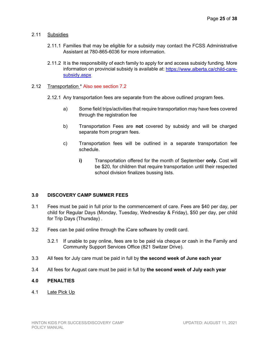# 2.11 Subsidies

- 2.11.1 Families that may be eligible for a subsidy may contact the FCSS Administrative Assistant at 780-865-6036 for more information.
- 2.11.2 It is the responsibility of each family to apply for and access subsidy funding. More information on provincial subsidy is available at: [https://www.alberta.ca/child-care](https://www.alberta.ca/child-care-subsidy.aspx)[subsidy.aspx](https://www.alberta.ca/child-care-subsidy.aspx)

#### 2.12 Transportation \* Also see section 7.2

- 2.12.1 Any transportation fees are separate from the above outlined program fees.
	- a) Some field trips/activities that require transportation may have fees covered through the registration fee
	- b) Transportation Fees are **not** covered by subsidy and will be charged separate from program fees.
	- c) Transportation fees will be outlined in a separate transportation fee schedule.
		- **i)** Transportation offered for the month of September **only.** Cost will be \$20, for children that require transportation until their respected school division finalizes bussing lists.

# **3.0 DISCOVERY CAMP SUMMER FEES**

- 3.1 Fees must be paid in full prior to the commencement of care. Fees are \$40 per day, per child for Regular Days (Monday, Tuesday, Wednesday & Friday), \$50 per day, per child for Trip Days (Thursday) .
- 3.2 Fees can be paid online through the iCare software by credit card.
	- 3.2.1 If unable to pay online, fees are to be paid via cheque or cash in the Family and Community Support Services Office (821 Switzer Drive).
- 3.3 All fees for July care must be paid in full by **the second week of June each year**
- 3.4 All fees for August care must be paid in full by **the second week of July each year**

# **4.0 PENALTIES**

4.1 Late Pick Up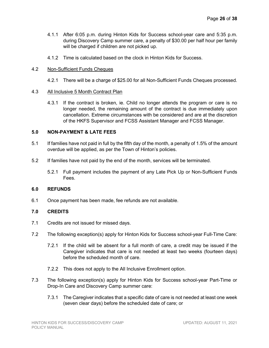- 4.1.1 After 6:05 p.m. during Hinton Kids for Success school-year care and 5:35 p.m. during Discovery Camp summer care, a penalty of \$30.00 per half hour per family will be charged if children are not picked up.
- 4.1.2 Time is calculated based on the clock in Hinton Kids for Success.

#### 4.2 Non-Sufficient Funds Cheques

4.2.1 There will be a charge of \$25.00 for all Non-Sufficient Funds Cheques processed.

#### 4.3 All Inclusive 5 Month Contract Plan

4.3.1 If the contract is broken, ie. Child no longer attends the program or care is no longer needed, the remaining amount of the contract is due immediately upon cancellation. Extreme circumstances with be considered and are at the discretion of the HKFS Supervisor and FCSS Assistant Manager and FCSS Manager.

#### **5.0 NON-PAYMENT & LATE FEES**

- 5.1 If families have not paid in full by the fifth day of the month, a penalty of 1.5% of the amount overdue will be applied, as per the Town of Hinton's policies.
- 5.2 If families have not paid by the end of the month, services will be terminated.
	- 5.2.1 Full payment includes the payment of any Late Pick Up or Non-Sufficient Funds Fees.

#### **6.0 REFUNDS**

6.1 Once payment has been made, fee refunds are not available.

# **7.0 CREDITS**

- 7.1 Credits are not issued for missed days.
- 7.2 The following exception(s) apply for Hinton Kids for Success school-year Full-Time Care:
	- 7.2.1 If the child will be absent for a full month of care, a credit may be issued if the Caregiver indicates that care is not needed at least two weeks (fourteen days) before the scheduled month of care.
	- 7.2.2 This does not apply to the All Inclusive Enrollment option.
- 7.3 The following exception(s) apply for Hinton Kids for Success school-year Part-Time or Drop-In Care and Discovery Camp summer care:
	- 7.3.1 The Caregiver indicates that a specific date of care is not needed at least one week (seven clear days) before the scheduled date of care; or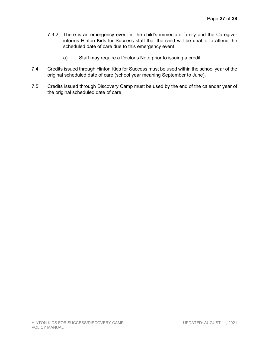- 7.3.2 There is an emergency event in the child's immediate family and the Caregiver informs Hinton Kids for Success staff that the child will be unable to attend the scheduled date of care due to this emergency event.
	- a) Staff may require a Doctor's Note prior to issuing a credit.
- 7.4 Credits issued through Hinton Kids for Success must be used within the school year of the original scheduled date of care (school year meaning September to June).
- 7.5 Credits issued through Discovery Camp must be used by the end of the calendar year of the original scheduled date of care.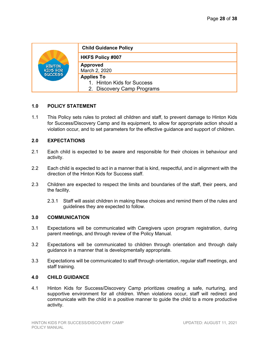| <b>HINTON</b><br>KIDS FOR<br>SUCCESS | <b>Child Guidance Policy</b>                                                  |
|--------------------------------------|-------------------------------------------------------------------------------|
|                                      | <b>HKFS Policy #007</b>                                                       |
|                                      | <b>Approved</b><br>March 2, 2020                                              |
|                                      | <b>Applies To</b><br>1. Hinton Kids for Success<br>2. Discovery Camp Programs |

1.1 This Policy sets rules to protect all children and staff, to prevent damage to Hinton Kids for Success/Discovery Camp and its equipment, to allow for appropriate action should a violation occur, and to set parameters for the effective guidance and support of children.

#### **2.0 EXPECTATIONS**

- 2.1 Each child is expected to be aware and responsible for their choices in behaviour and activity.
- 2.2 Each child is expected to act in a manner that is kind, respectful, and in alignment with the direction of the Hinton Kids for Success staff.
- 2.3 Children are expected to respect the limits and boundaries of the staff, their peers, and the facility.
	- 2.3.1 Staff will assist children in making these choices and remind them of the rules and guidelines they are expected to follow.

# **3.0 COMMUNICATION**

- 3.1 Expectations will be communicated with Caregivers upon program registration, during parent meetings, and through review of the Policy Manual.
- 3.2 Expectations will be communicated to children through orientation and through daily guidance in a manner that is developmentally appropriate.
- 3.3 Expectations will be communicated to staff through orientation, regular staff meetings, and staff training.

#### **4.0 CHILD GUIDANCE**

4.1 Hinton Kids for Success/Discovery Camp prioritizes creating a safe, nurturing, and supportive environment for all children. When violations occur, staff will redirect and communicate with the child in a positive manner to guide the child to a more productive activity.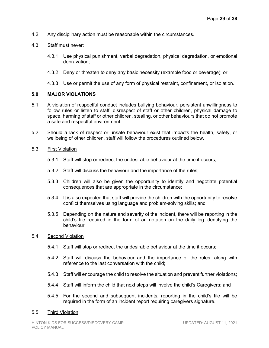- 4.2 Any disciplinary action must be reasonable within the circumstances.
- 4.3 Staff must never:
	- 4.3.1 Use physical punishment, verbal degradation, physical degradation, or emotional depravation;
	- 4.3.2 Deny or threaten to deny any basic necessity (example food or beverage); or
	- 4.3.3 Use or permit the use of any form of physical restraint, confinement, or isolation.

#### **5.0 MAJOR VIOLATIONS**

- 5.1 A violation of respectful conduct includes bullying behaviour, persistent unwillingness to follow rules or listen to staff, disrespect of staff or other children, physical damage to space, harming of staff or other children, stealing, or other behaviours that do not promote a safe and respectful environment.
- 5.2 Should a lack of respect or unsafe behaviour exist that impacts the health, safety, or wellbeing of other children, staff will follow the procedures outlined below.
- 5.3 First Violation
	- 5.3.1 Staff will stop or redirect the undesirable behaviour at the time it occurs;
	- 5.3.2 Staff will discuss the behaviour and the importance of the rules;
	- 5.3.3 Children will also be given the opportunity to identify and negotiate potential consequences that are appropriate in the circumstance;
	- 5.3.4 It is also expected that staff will provide the children with the opportunity to resolve conflict themselves using language and problem-solving skills; and
	- 5.3.5 Depending on the nature and severity of the incident, there will be reporting in the child's file required in the form of an notation on the daily log identifying the behaviour.

#### 5.4 Second Violation

- 5.4.1 Staff will stop or redirect the undesirable behaviour at the time it occurs;
- 5.4.2 Staff will discuss the behaviour and the importance of the rules, along with reference to the last conversation with the child;
- 5.4.3 Staff will encourage the child to resolve the situation and prevent further violations;
- 5.4.4 Staff will inform the child that next steps will involve the child's Caregivers; and
- 5.4.5 For the second and subsequent incidents, reporting in the child's file will be required in the form of an incident report requiring caregivers signature.

#### 5.5 Third Violation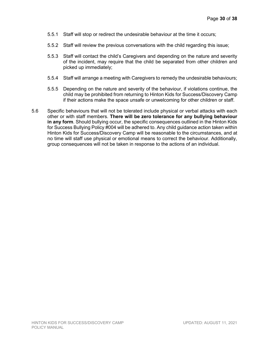- 5.5.1 Staff will stop or redirect the undesirable behaviour at the time it occurs;
- 5.5.2 Staff will review the previous conversations with the child regarding this issue;
- 5.5.3 Staff will contact the child's Caregivers and depending on the nature and severity of the incident, may require that the child be separated from other children and picked up immediately;
- 5.5.4 Staff will arrange a meeting with Caregivers to remedy the undesirable behaviours;
- 5.5.5 Depending on the nature and severity of the behaviour, if violations continue, the child may be prohibited from returning to Hinton Kids for Success/Discovery Camp if their actions make the space unsafe or unwelcoming for other children or staff.
- 5.6 Specific behaviours that will not be tolerated include physical or verbal attacks with each other or with staff members. **There will be zero tolerance for any bullying behaviour in any form**. Should bullying occur, the specific consequences outlined in the Hinton Kids for Success Bullying Policy #004 will be adhered to. Any child guidance action taken within Hinton Kids for Success/Discovery Camp will be reasonable to the circumstances, and at no time will staff use physical or emotional means to correct the behaviour. Additionally, group consequences will not be taken in response to the actions of an individual.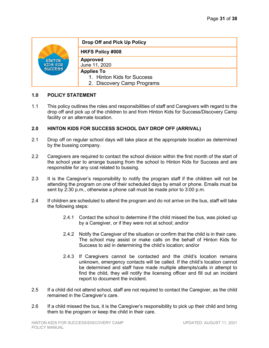| <b>HINTON</b><br>KIDS FOR<br>SUCCESS | <b>Drop Off and Pick Up Policy</b>              |
|--------------------------------------|-------------------------------------------------|
|                                      | <b>HKFS Policy #008</b>                         |
|                                      | <b>Approved</b><br>June 11, 2020                |
|                                      | <b>Applies To</b><br>1. Hinton Kids for Success |
|                                      | 2. Discovery Camp Programs                      |

1.1 This policy outlines the roles and responsibilities of staff and Caregivers with regard to the drop off and pick up of the children to and from Hinton Kids for Success/Discovery Camp facility or an alternate location.

# **2.0 HINTON KIDS FOR SUCCESS SCHOOL DAY DROP OFF (ARRIVAL)**

- 2.1 Drop off on regular school days will take place at the appropriate location as determined by the bussing company.
- 2.2 Caregivers are required to contact the school division within the first month of the start of the school year to arrange bussing from the school to Hinton Kids for Success and are responsible for any cost related to bussing.
- 2.3 It is the Caregiver's responsibility to notify the program staff if the children will not be attending the program on one of their scheduled days by email or phone. Emails must be sent by 2:30 p.m., otherwise a phone call must be made prior to 3:00 p.m.
- 2.4 If children are scheduled to attend the program and do not arrive on the bus, staff will take the following steps:
	- 2.4.1 Contact the school to determine if the child missed the bus, was picked up by a Caregiver, or if they were not at school; and/or
	- 2.4.2 Notify the Caregiver of the situation or confirm that the child is in their care. The school may assist or make calls on the behalf of Hinton Kids for Success to aid in determining the child's location; and/or
	- 2.4.3 If Caregivers cannot be contacted and the child's location remains unknown, emergency contacts will be called. If the child's location cannot be determined and staff have made multiple attempts/calls in attempt to find the child, they will notify the licensing officer and fill out an incident report to document the incident.
- 2.5 If a child did not attend school, staff are not required to contact the Caregiver, as the child remained in the Caregiver's care.
- 2.6 If a child missed the bus, it is the Caregiver's responsibility to pick up their child and bring them to the program or keep the child in their care.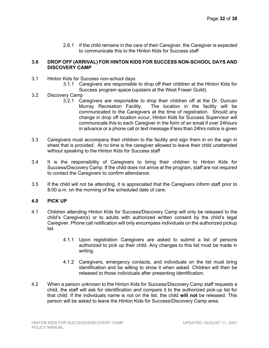2.6.1 If the child remains in the care of their Caregiver, the Caregiver is expected to communicate this to the Hinton Kids for Success staff

#### **3.0 DROP OFF (ARRIVAL) FOR HINTON KIDS FOR SUCCESS NON-SCHOOL DAYS AND DISCOVERY CAMP**

- 3.1 Hinton Kids for Success non-school days
	- 3.1.1 Caregivers are responsible to drop off their children at the Hinton Kids for Success program space (upstairs at the West Fraser Guild).

### 3.2 Discovery Camp

- 3.2.1 Caregivers are responsible to drop their children off at the Dr. Duncan Murray Recreation Facility. The location in the facility will be communicated to the Caregivers at the time of registration. Should any change in drop off location occur, Hinton Kids for Success Supervisor will communicate this to each Caregiver in the form of an email if over 24hours in advance or a phone call or text message if less than 24hrs notice is given
- 3.3 Caregivers must accompany their children to the facility and sign them in on the sign in sheet that is provided. At no time is the caregiver allowed to leave their child unattended without speaking to the Hinton Kids for Success staff
- 3.4 It is the responsibility of Caregivers to bring their children to Hinton Kids for Success/Discovery Camp. If the child does not arrive at the program, staff are not required to contact the Caregivers to confirm attendance.
- 3.5 If the child will not be attending, it is appreciated that the Caregivers inform staff prior to 8:00 a.m. on the morning of the scheduled date of care.

# **4.0 PICK UP**

- 4.1 Children attending Hinton Kids for Success/Discovery Camp will only be released to the child's Caregiver(s) or to adults with authorized written consent by the child's legal Caregiver. Phone call notification will only encompass individuals on the authorized pickup list.
	- 4.1.1 Upon registration Caregivers are asked to submit a list of persons authorized to pick up their child. Any changes to this list must be made in writing.
	- 4.1.2 Caregivers, emergency contacts, and individuals on the list must bring identification and be willing to show it when asked. Children will then be released to those individuals after presenting identification.
- 4.2 When a person unknown to the Hinton Kids for Success/Discovery Camp staff requests a child, the staff will ask for identification and compare it to the authorized pick-up list for that child. If the individuals name is not on the list, the child **will not** be released. This person will be asked to leave the Hinton Kids for Success/Discovery Camp area.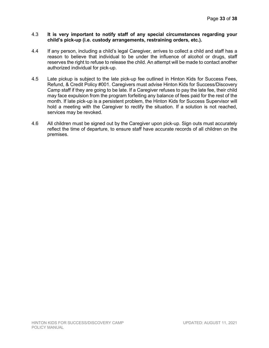#### 4.3 **It is very important to notify staff of any special circumstances regarding your child's pick-up (i.e. custody arrangements, restraining orders, etc.).**

- 4.4 If any person, including a child's legal Caregiver, arrives to collect a child and staff has a reason to believe that individual to be under the influence of alcohol or drugs, staff reserves the right to refuse to release the child. An attempt will be made to contact another authorized individual for pick-up.
- 4.5 Late pickup is subject to the late pick-up fee outlined in Hinton Kids for Success Fees, Refund, & Credit Policy #001. Caregivers must advise Hinton Kids for Success/Discovery Camp staff if they are going to be late. If a Caregiver refuses to pay the late fee, their child may face expulsion from the program forfeiting any balance of fees paid for the rest of the month. If late pick-up is a persistent problem, the Hinton Kids for Success Supervisor will hold a meeting with the Caregiver to rectify the situation. If a solution is not reached, services may be revoked.
- 4.6 All children must be signed out by the Caregiver upon pick-up. Sign outs must accurately reflect the time of departure, to ensure staff have accurate records of all children on the premises.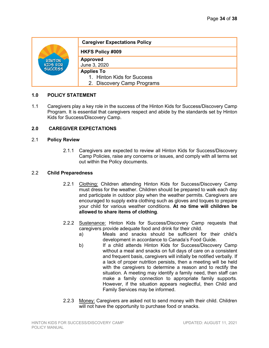| <b>HINTON</b><br>KIDS FOR<br>SUCCESS | <b>Caregiver Expectations Policy</b>                                          |
|--------------------------------------|-------------------------------------------------------------------------------|
|                                      | <b>HKFS Policy #009</b>                                                       |
|                                      | <b>Approved</b><br>June 3, 2020                                               |
|                                      | <b>Applies To</b><br>1. Hinton Kids for Success<br>2. Discovery Camp Programs |

1.1 Caregivers play a key role in the success of the Hinton Kids for Success/Discovery Camp Program. It is essential that caregivers respect and abide by the standards set by Hinton Kids for Success/Discovery Camp.

# **2.0 CAREGIVER EXPECTATIONS**

#### 2.1 **Policy Review**

2.1.1 Caregivers are expected to review all Hinton Kids for Success/Discovery Camp Policies, raise any concerns or issues, and comply with all terms set out within the Policy documents.

### 2.2 **Child Preparedness**

- 2.2.1 Clothing: Children attending Hinton Kids for Success/Discovery Camp must dress for the weather. Children should be prepared to walk each day and participate in outdoor play when the weather permits. Caregivers are encouraged to supply extra clothing such as gloves and toques to prepare your child for various weather conditions. **At no time will children be allowed to share items of clothing**.
- 2.2.2 Sustenance: Hinton Kids for Success/Discovery Camp requests that caregivers provide adequate food and drink for their child.
	- a) Meals and snacks should be sufficient for their child's development in accordance to Canada's Food Guide.
	- b) If a child attends Hinton Kids for Success/Discovery Camp without a meal and snacks on full days of care on a consistent and frequent basis, caregivers will initially be notified verbally. If a lack of proper nutrition persists, then a meeting will be held with the caregivers to determine a reason and to rectify the situation. A meeting may identify a family need, then staff can make a family connection to appropriate family supports. However, if the situation appears neglectful, then Child and Family Services may be informed.
- 2.2.3 Money: Caregivers are asked not to send money with their child. Children will not have the opportunity to purchase food or snacks.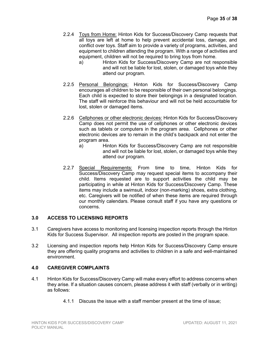- 2.2.4 Toys from Home: Hinton Kids for Success/Discovery Camp requests that all toys are left at home to help prevent accidental loss, damage, and conflict over toys. Staff aim to provide a variety of programs, activities, and equipment to children attending the program. With a range of activities and equipment, children will not be required to bring toys from home.
	- a) Hinton Kids for Success/Discovery Camp are not responsible and will not be liable for lost, stolen, or damaged toys while they attend our program.
- 2.2.5 Personal Belongings: Hinton Kids for Success/Discovery Camp encourages all children to be responsible of their own personal belongings. Each child is expected to store their belongings in a designated location. The staff will reinforce this behaviour and will not be held accountable for lost, stolen or damaged items.
- 2.2.6 Cellphones or other electronic devices: Hinton Kids for Success/Discovery Camp does not permit the use of cellphones or other electronic devices such as tablets or computers in the program area. Cellphones or other electronic devices are to remain in the child's backpack and not enter the program area.
	- a) Hinton Kids for Success/Discovery Camp are not responsible and will not be liable for lost, stolen, or damaged toys while they attend our program.
- 2.2.7 Special Requirements: From time to time, Hinton Kids for Success/Discovery Camp may request special items to accompany their child. Items requested are to support activities the child may be participating in while at Hinton Kids for Success/Discovery Camp. These items may include a swimsuit, indoor (non-marking) shoes, extra clothing, etc. Caregivers will be notified of when these items are required through our monthly calendars. Please consult staff if you have any questions or concerns.

# **3.0 ACCESS TO LICENSING REPORTS**

- 3.1 Caregivers have access to monitoring and licensing inspection reports through the Hinton Kids for Success Supervisor. All inspection reports are posted in the program space.
- 3.2 Licensing and inspection reports help Hinton Kids for Success/Discovery Camp ensure they are offering quality programs and activities to children in a safe and well-maintained environment.

# **4.0 CAREGIVER COMPLAINTS**

- 4.1 Hinton Kids for Success/Discovery Camp will make every effort to address concerns when they arise. If a situation causes concern, please address it with staff (verbally or in writing) as follows:
	- 4.1.1 Discuss the issue with a staff member present at the time of issue;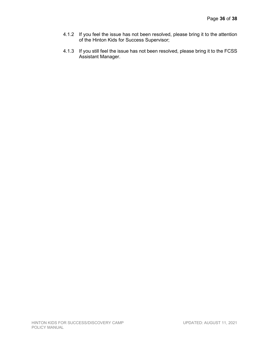- 4.1.2 If you feel the issue has not been resolved, please bring it to the attention of the Hinton Kids for Success Supervisor;
- 4.1.3 If you still feel the issue has not been resolved, please bring it to the FCSS Assistant Manager.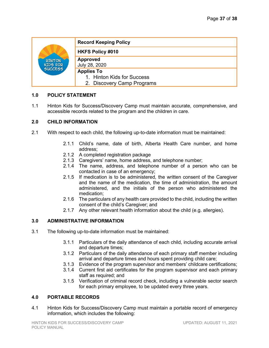| <b>HINTON</b><br>KIDS FOR<br>SUCCESS | <b>Record Keeping Policy</b>     |
|--------------------------------------|----------------------------------|
|                                      | <b>HKFS Policy #010</b>          |
|                                      | <b>Approved</b><br>July 28, 2020 |
|                                      | <b>Applies To</b>                |
|                                      | 1. Hinton Kids for Success       |
|                                      | 2. Discovery Camp Programs       |

1.1 Hinton Kids for Success/Discovery Camp must maintain accurate, comprehensive, and accessible records related to the program and the children in care.

#### **2.0 CHILD INFORMATION**

- 2.1 With respect to each child, the following up-to-date information must be maintained:
	- 2.1.1 Child's name, date of birth, Alberta Health Care number, and home address;
	- 2.1.2 A completed registration package
	- 2.1.3 Caregivers' name, home address, and telephone number;
	- 2.1.4 The name, address, and telephone number of a person who can be contacted in case of an emergency;
	- 2.1.5 If medication is to be administered, the written consent of the Caregiver and the name of the medication, the time of administration, the amount administered, and the initials of the person who administered the medication;
	- 2.1.6 The particulars of any health care provided to the child, including the written consent of the child's Caregiver; and
	- 2.1.7 Any other relevant health information about the child (e.g. allergies).

# **3.0 ADMINISTRATIVE INFORMATION**

- 3.1 The following up-to-date information must be maintained:
	- 3.1.1 Particulars of the daily attendance of each child, including accurate arrival and departure times;
	- 3.1.2 Particulars of the daily attendance of each primary staff member including arrival and departure times and hours spent providing child care;
	- 3.1.3 Evidence of the program supervisor and members' childcare certifications;
	- 3.1.4 Current first aid certificates for the program supervisor and each primary staff as required; and
	- 3.1.5 Verification of criminal record check, including a vulnerable sector search for each primary employee, to be updated every three years.

#### **4.0 PORTABLE RECORDS**

4.1 Hinton Kids for Success/Discovery Camp must maintain a portable record of emergency information, which includes the following: